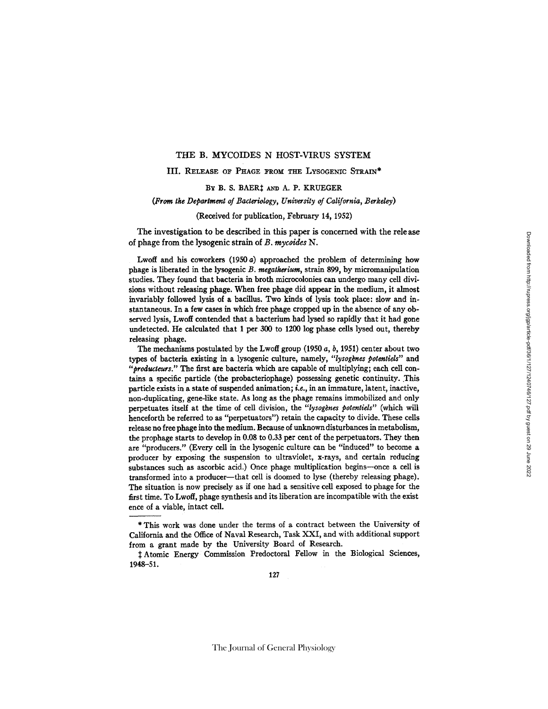## THE B. MYCOIDES N HOST-VIRUS SYSTEM

## III. RELEASE OF PHAGE FROM THE LYSOGENIC STRAIN\*

# BY B. S. BAER<sup>†</sup> AND A. P. KRUEGER

# *(From tke Department of Bacteriology, University of California, Berkeley)*

# (Received for publication, February 14, 1952)

The investigation to be described in this paper is concerned with the release of phage from the lysogenic strain of *B. mycoides* N.

Lwoff and his coworkers (1950 a) approached the problem of determining how phage is liberated in the lysogenic *B. megatherium*, strain 899, by micromanipulation studies. They found that bacteria in broth mierocolonies can undergo many cell divisions without releasing phage. When free phage did appear in the medium, it almost invariably followed lysis of a bacillus. Two kinds of lysis took place: slow and instantaneous. In a few cases in which free phage cropped up in the absence of any observed lysis, Lwoff contended that a bacterium had lysed so rapidly that it had gone undetected. He calculated that 1 per 300 to 1200 log phase cells lysed out, thereby releasing phage.

The mechanisms postulated by the Lwoff group (1950  $a, b, 1951$ ) center about two types of bacteria existing in a lysogenic culture, namely, "lysogènes potentiels" and "producteurs." The first are bacteria which are capable of multiplying; each cell contains a specific particle (the probacteriophage) possessing genetic continuity. This particle exists in a state of suspended animation; i.e., in an immature, latent, inactive, non-duplicating, gene-like state. As long as the phage remains immobilized and only perpetuates itself at the time of cell division, the "lysogènes potentiels" (which will henceforth be referred to as "perpetuators") retain the capacity to divide. These cells release no free phage into the medium. Because of unknown disturbances in metabolism, the prophage starts to develop in 0.08 to 0.33 per cent of the perpetuators. They then are "producers." (Every cell in the lysogenie culture can be "induced" to become a producer by exposing the suspension to ultraviolet, x-rays, and certain reducing substances such as ascorbic acid.) Once phage multiplication begins--once a cell is transformed into a producer--that cell is doomed to lyse (thereby releasing phage). The situation is now precisely as if one had a sensitive cell exposed to phage for the first time. To Lwoff, phage synthesis and its liberation are incompatible with the exist ence of a viable, intact cell.

Atomic Energy Commission Predoctoral Fellow in the Biological Sciences, 1948--51.

<sup>\*</sup> This work was done under the terms of a contract between the University of California and the Office of Naval Research, Task XXI, and with additional support from a grant made by the University Board of Research.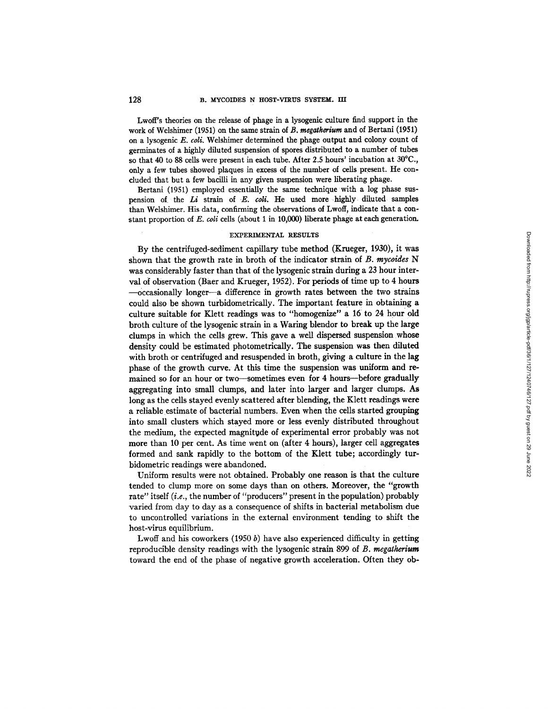Lwoff's theories on the release of phage in a lysogenic culture find support in the work of Welshimer (1951) on the same strain of *B. megatherium* and of Bertani (1951) on a lysogenic *E. coli.* Welshimer determined the phage output and colony count of germinates of a highly diluted suspension of spores distributed to a number of tubes so that 40 to 88 cells were present in each tube. After 2.5 hours' incubation at 30°C., only a few tubes showed plaques in excess of the number of cells present. He concluded that but a few bacilli in any given suspension were liberating phage.

Bertani (1951) employed essentially the same technique with a log phase suspension of the *Li* strain of *E. coli.* He used more highly diluted samples than Welshimer. His data, confirming the observations of Lwoff, indicate that a constant proportion of *E. coli* ceils (about 1 in 10,000) liberate phage at each generation.

#### EXPERIMENTAL RESULTS

By the centrifuged-sediment capillary tube method (Krueger, 1930), it was shown that the growth rate in broth of the indicator strain of *B. mycoides N*  was considerably faster than that of the lysogenic strain during a 23 hour interval of observation (Baer and Krueger, 1952). For periods of time up to 4 hours --occasionally longer--a difference in growth rates between the two strains could also be shown turbidometrically. The important feature in obtaining a culture suitable for Klett readings was to *"homogenize"* a 16 to 24 hour old broth culture of the lysogenic strain in a Waring blendor to break up the large clumps in which the cells grew. This gave a well dispersed suspension whose density could be estimated photometrically. The suspension was then diluted with broth or centrifuged and resuspended in broth, giving a culture in the lag phase of the growth curve. At this time the suspension was uniform and remained so for an hour or two-sometimes even for 4 hours--before gradually aggregating into small clumps, and later into larger and larger clumps. As long as the cells stayed evenly scattered after blending, the Klett readings were a reliable estimate of bacterial numbers. Even when the cells started grouping into small clusters which stayed more or less evenly distributed throughout the medium, the expected magnitude of experimental error probably was not more than 10 per cent. As time went on (after 4 hours), larger cell aggregates formed and sank rapidly to the bottom of the Klett tube; accordingly turbidometric readings were abandoned.

Uniform results were not obtained. Probably one reason is that the culture tended to clump more on some days than on others. Moreover, the "growth rate" itself *(i.e., the number of "producers"* present in the population) probably varied from day to day as a consequence of shifts in bacterial metabolism due to uncontrolled variations in the external environment tending to shift the host-virus equilibrium.

Lwoff and his coworkers (1950  $b$ ) have also experienced difficulty in getting reproducible density readings with the lysogenic strain 899 of *B. megatherium*  toward the end of the phase of negative growth acceleration. Often they ob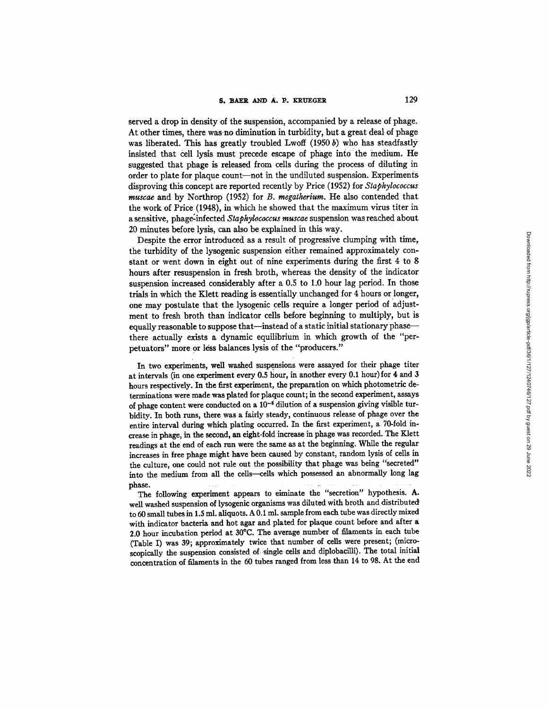served a drop in density of the suspension, accompanied by a release of phage. At other times, there was no diminution in turbidity, but a great deal of phage was liberated. This has greatly troubled Lwoff  $(1950 b)$  who has steadfastly insisted that cell lysis must precede escape of phage into the medium. He suggested that phage is released from cells during the process of diluting in order to plate for plaque count--not in the undiluted suspension. Experiments disproving this concept are reported recently by Price (1952) for *Staphylococcus muscae* and by Northrop (1952) for *B. megatherium*. He also contended that the work of Price (1948), in which he showed that the maximum virus titer in a sensitive, phage-infected *Staphylococcus muscae* suspension was reached about 20 minutes before lysis, can also be explained in this way.

Despite the error introduced as a result of progressive clumping with time, the turbidity of the lysogenic suspension either remained approximately constant or went down in eight out of nine experiments during the first 4 to 8 hours after resuspension in fresh broth, whereas the density of the indicator suspension increased considerably after a 0.5 to 1.0 hour lag period. In those trials in which the Klett reading is essentially unchanged for 4 hours or longer, one may postulate that the lysogenic cells require a longer period of adjustment to fresh broth than indicator cells before beginning to multiply, but is equally reasonable to suppose that-instead of a static initial stationary phasethere actually exists a dynamic equilibrium in which growth of the "perpetuators" more or less balances lysis of the "producers."

In two experiments, well washed suspensions were assayed for their phage titer at intervals (in one experiment every 0.5 hour, in another every 0.1 hour) for 4 and 3 hours respectively. In the first experiment, the preparation on which photometric determinations were made was plated for plaque count; in the second experiment, assays of phage content were conducted on a  $10^{-6}$  dilution of a suspension giving visible turbidity. In both runs, there was a fairly steady, continuous release of phage over the entire interval during which plating occurred. In the first experiment, a 70-fold increase in phage, in the second, an eight-fold increase in phage was recorded. The Klett readings at the end of each run were the same as at the beginning. While the regular increases in free phage might have been caused by constant, random lysis of cells in the culture, one could not rule out the possibility that phage was being "secreted" into the medium from all the cells--cells which possessed an abnormally long lag phase ..................

The following experiment appears to eiminate the "secretion" hypothesis. A. well washed suspension of lysogenic organisms was diluted with broth and distributed to 50 small tubes in 1.5 ml. aliquots. A 0.1 ml. sample from each tube was directly mixed with indicator bacteria and hot agar and plated for plaque count before and after a 2.0 hour incubation period at 30°C. The average number of filaments in each tube (Table I) was 39; approximately twice that number of cells were present; (microscopically the suspension consisted of single cells and diplobacilli). The total initial concentration of filaments in the 50 tubes ranged from less than 14 to 98. At the end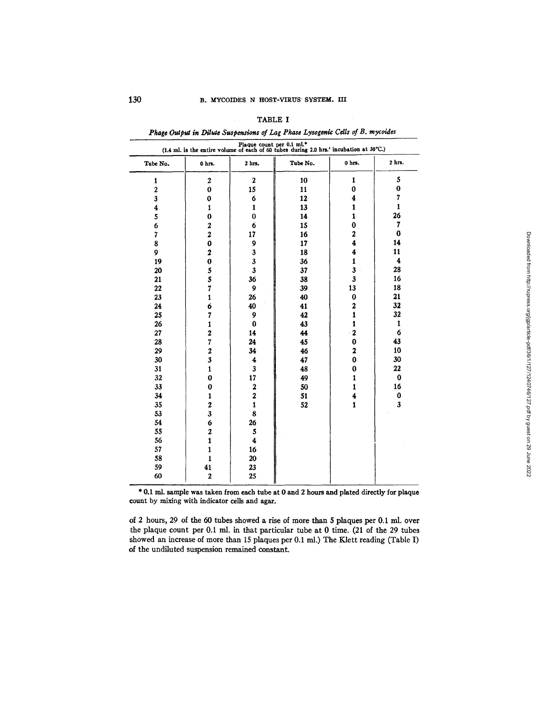| Plaque count per 0.1 ml.*<br>(1.4 ml. is the entire volume of each of 60 tubes during 2.0 hrs.' incubation at 30°C.) |                         |                         |          |                         |                         |  |  |  |
|----------------------------------------------------------------------------------------------------------------------|-------------------------|-------------------------|----------|-------------------------|-------------------------|--|--|--|
| Tube No.                                                                                                             | 0 hrs.                  | 2 hrs.                  | Tube No. | 0 hrs.                  | $2$ hrs.                |  |  |  |
| $\mathbf{1}$                                                                                                         | $\overline{2}$          | $\boldsymbol{2}$        | 10       | $\mathbf{1}$            | 5                       |  |  |  |
| $\overline{\mathbf{c}}$                                                                                              | $\bf{0}$                | 15                      | 11       | 0                       | 0                       |  |  |  |
| 3                                                                                                                    | 0                       | 6                       | 12       | 4                       | 7                       |  |  |  |
| 4                                                                                                                    | 1                       | $\mathbf{1}$            | 13       | 1                       | $\mathbf{1}$            |  |  |  |
| 5                                                                                                                    | 0                       | $\bf{0}$                | 14       | $\mathbf{1}$            | 26                      |  |  |  |
| 6                                                                                                                    | 2                       | 6                       | 15       | $\bf{0}$                | $\boldsymbol{7}$        |  |  |  |
| $\overline{7}$                                                                                                       | $\overline{2}$          | 17                      | 16       | $\overline{\mathbf{c}}$ | $\bf{0}$                |  |  |  |
| 8                                                                                                                    | 0                       | 9                       | 17       | 4                       | 14                      |  |  |  |
| $\overline{9}$                                                                                                       | $\overline{\mathbf{2}}$ | 3                       | 18       | 4                       | 11                      |  |  |  |
| 19                                                                                                                   | 0                       | 3                       | 36       | $\mathbf{1}$            | $\overline{\mathbf{4}}$ |  |  |  |
| 20                                                                                                                   | 5                       | $\overline{\mathbf{3}}$ | 37       | $\overline{\mathbf{3}}$ | 28                      |  |  |  |
| 21                                                                                                                   | 5                       | 36                      | 38       | 3                       | 16                      |  |  |  |
| 22                                                                                                                   | 7                       | 9                       | 39       | 13                      | 18                      |  |  |  |
| 23                                                                                                                   | $\mathbf{t}$            | 26                      | 40       | 0                       | 21                      |  |  |  |
| 24                                                                                                                   | 6                       | 40                      | 41       | 2                       | 32                      |  |  |  |
| 25                                                                                                                   | 7                       | 9                       | 42       | $\mathbf{1}$            | 32                      |  |  |  |
| 26                                                                                                                   | $\mathbf{1}$            | $\bf{0}$                | 43       | $\mathbf{1}$            | 1                       |  |  |  |
| 27                                                                                                                   | $\mathbf 2$             | 14                      | 44       | $\mathbf 2$             | 6                       |  |  |  |
| 28                                                                                                                   | $\overline{7}$          | 24                      | 45       | $\mathbf 0$             | 43                      |  |  |  |
| 29                                                                                                                   | $\overline{\mathbf{c}}$ | 34                      | 46       | $\overline{\mathbf{2}}$ | 10                      |  |  |  |
| 30                                                                                                                   | 3                       | 4                       | 47       | $\bf{0}$                | 30                      |  |  |  |
| 31                                                                                                                   | $\mathbf{1}$            | $\mathbf{3}$            | 48       | 0                       | 22                      |  |  |  |
| 32                                                                                                                   | $\bf{0}$                | 17                      | 49       | 1                       | $\pmb{0}$               |  |  |  |
| 33                                                                                                                   | $\bf{0}$                | $\bf 2$                 | 50       | 1                       | 16                      |  |  |  |
| 34                                                                                                                   | $\mathbf{1}$            | $\boldsymbol{2}$        | 51       | 4                       | 0                       |  |  |  |
| 35                                                                                                                   | $\boldsymbol{2}$        | $\mathbf{1}$            | 52       | $\mathbf{1}$            | $\overline{\mathbf{3}}$ |  |  |  |
| 53                                                                                                                   | 3                       | 8                       |          |                         |                         |  |  |  |
| 54                                                                                                                   | 6                       | 26                      |          |                         |                         |  |  |  |
| 55                                                                                                                   | $\overline{\mathbf{c}}$ | 5                       |          |                         |                         |  |  |  |
| 56                                                                                                                   | $\mathbf{1}$            | $\ddagger$              |          |                         |                         |  |  |  |
| 57                                                                                                                   | $\mathbf{1}$            | 16                      |          |                         |                         |  |  |  |
| 58                                                                                                                   | $\mathbf{1}$            | 20                      |          |                         |                         |  |  |  |
| 59                                                                                                                   | 41                      | 23                      |          |                         |                         |  |  |  |
| 60                                                                                                                   | $\boldsymbol{2}$        | 25                      |          |                         |                         |  |  |  |

TABLE I *Phage Output in Dilute Suspensions of Lag Phase Lysogeni¢ Cells of B. mycoides* 

\* 0.1 ml. sample was taken from each tube at 0 and 2 hours and plated directly for plaque count by mixing with indicator cells and agar.

of 2 hours, 29 of the 60 tubes showed a rise of more than 5 plaques per 0.1 ml. over the plaque count per 0.1 ml. in that particular tube at 0 time. (21 of the 29 tubes showed an increase of more than 15 plaques per 0.1 ml.) The Klett reading (Table I) of the undiluted suspension remained constant.

 $\overline{a}$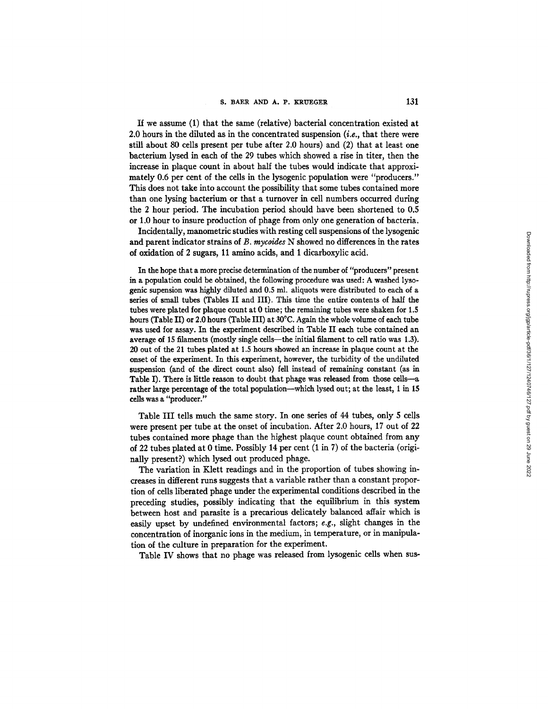If we assume (1) that the same (relative) bacterial concentration existed at 2.0 hours in the diluted as in the concentrated suspension *(i.e.,* that there were still about 80 ceils present per tube after 2.0 hours) and (2) that at least one bacterium lysed in each of the 29 tubes which showed a rise in titer, then the increase in plaque count in about half the tubes would indicate that approximately 0.6 per cent of the ceils in the lysogenic population were "producers." This does not take into account the possibility that some tubes contained more than one lysing bacterium or that a turnover in cell numbers occurred during the 2 hour period. The incubation period should have been shortened to 0.5 or 1.0 hour to insure production of phage from only one generation of bacteria.

Incidentally, manometric studies with resting cell suspensions of the lysogenic and parent indicator strains of *B. mycoides* N showed no differences in the rates of oxidation of 2 sugars, 11 amino acids, and 1 dicarboxylic acid.

In the hope that a more precise determination of the number of *"producers"* present in a population could be obtained, the following procedure was used: A washed lysogenie supension was highly diluted and 0.5 ml. aliquots were distributed to each of a series of small tubes (Tables II and III). This time the entire contents of half the tubes were plated for plaque count at 0 time; the remaining tubes were shaken for 1.5 hours (Table II) or 2.0 hours (Table III) at 30°C. Again the whole volume of each tube was used for assay. In the experiment described in Table II each tube contained an average of 15 filaments (mostly single cells--the initial filament to cell ratio was 1.3). 20 out of the 21 tubes plated at 1.5 hours showed an increase in plaque count at the onset of the experiment. In this experiment, however, the turbidity of the undiluted suspension (and of the direct count also) fell instead of remaining constant (as in Table I). There is little reason to doubt that phage was released from those cells--a rather large percentage of the total population--which lysed out; at the least, 1 in 15 cells was a "producer."

Table III tells much the same story. In one series of 44 tubes, only 5 cells were present per tube at the onset of incubation. Mter 2.0 hours, 17 out of 22 tubes contained more phage than the highest plaque count obtained from any of 22 tubes plated at 0 time. Possibly 14 per cent (1 in 7) of the bacteria (originally present?) which lysed out produced phage.

The variation in Klett readings and in the proportion of tubes showing increases in different runs suggests that a variable rather than a constant proportion of cells liberated phage under the experimental conditions described in the preceding studies, possibly indicating that the equilibrium in this system between host and parasite is a precarious delicately balanced affair which is easily upset by undefined environmental factors; *e.g.,* slight changes in the concentration of inorganic ions in the medium, in temperature, or in manipulation of the culture in preparation for the experiment.

Table IV shows that no phage was released from lysogenic cells when sus-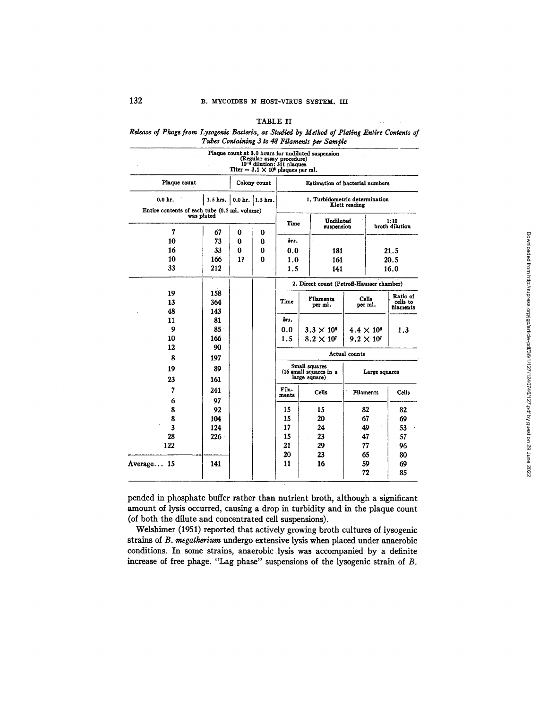#### TABLE H

*Rdease of Phage from Lysogenlc Bacteria, as Studied by Method of Plating Enbire Contents of Tubes Containing 3 Io 48 Filamen;s per Sample* 

|                                                             |     |                           | (Regular assay procedure)<br>10 <sup>-6</sup> dilution: 311 plaques<br>Titer = $3.1 \times 10^8$ plaques per ml. |                                                          | Plaque count at 0.0 hours for undiluted suspension |                         |                     |           |  |
|-------------------------------------------------------------|-----|---------------------------|------------------------------------------------------------------------------------------------------------------|----------------------------------------------------------|----------------------------------------------------|-------------------------|---------------------|-----------|--|
| Plaque count<br>Colony count                                |     |                           |                                                                                                                  | Estimation of bacterial numbers                          |                                                    |                         |                     |           |  |
| $0.0hr$ .                                                   |     | 1.5 hrs. 0.0 hr. 1.5 hrs. | 1. Turbidometric determination<br>Klett reading                                                                  |                                                          |                                                    |                         |                     |           |  |
| Entire contents of each tube (0.5 ml. volume)<br>was plated |     |                           |                                                                                                                  |                                                          |                                                    | Undiluted               |                     | 1:10      |  |
| 7                                                           | 67  | $\bf{0}$                  | 0                                                                                                                | Time                                                     | suspension                                         |                         | broth dilution      |           |  |
| 10                                                          | 73  | $\bf{0}$                  | o                                                                                                                | hrs.                                                     |                                                    |                         |                     |           |  |
| 16                                                          | 33  | $\bf{0}$                  | 0                                                                                                                | 0.0<br>181                                               |                                                    |                         | 21.5                |           |  |
| 10                                                          | 166 | 12                        | 0                                                                                                                | 1.0                                                      | 161                                                |                         | 20.5                |           |  |
| 33                                                          | 212 |                           |                                                                                                                  | 141<br>1.5                                               |                                                    |                         | 16.0                |           |  |
|                                                             |     |                           |                                                                                                                  |                                                          | 2. Direct count (Petroff-Hausser chamber)          |                         |                     |           |  |
| 19                                                          | 158 |                           |                                                                                                                  |                                                          |                                                    |                         |                     | Ratio of  |  |
| 13                                                          | 364 |                           |                                                                                                                  | <b>Filaments</b><br>Time<br>per ml.                      |                                                    | <b>Cells</b><br>per ml. |                     | cells to  |  |
| 48                                                          | 143 |                           |                                                                                                                  |                                                          |                                                    |                         |                     | filaments |  |
| 11                                                          | 81  |                           |                                                                                                                  | hrs.                                                     |                                                    |                         |                     |           |  |
| 9                                                           | 85  |                           |                                                                                                                  | $3.3 \times 10^{8}$<br>0.0                               |                                                    |                         | $4.4 \times 10^{8}$ | 1.3       |  |
| 10                                                          | 166 |                           |                                                                                                                  | 1.5                                                      | $8.2 \times 10^{7}$                                |                         | $9.2 \times 10^7$   |           |  |
| 12                                                          | 90  |                           |                                                                                                                  |                                                          |                                                    |                         |                     |           |  |
| 8                                                           | 197 |                           |                                                                                                                  | Actual counts                                            |                                                    |                         |                     |           |  |
| 19                                                          | 89  |                           |                                                                                                                  | Small squares<br>(16 small squares in a<br>Large squares |                                                    |                         |                     |           |  |
| 23                                                          | 161 |                           |                                                                                                                  | large square)                                            |                                                    |                         |                     |           |  |
| 7                                                           | 241 |                           |                                                                                                                  | Fils-<br><b>Cells</b>                                    |                                                    |                         | Filaments           | Cells     |  |
| 6                                                           | 97  |                           |                                                                                                                  | ments                                                    |                                                    |                         |                     |           |  |
| 8                                                           | 92  |                           |                                                                                                                  | 15                                                       | 15                                                 |                         | 82                  | 82        |  |
| 8                                                           | 104 |                           |                                                                                                                  | 15                                                       | 20                                                 |                         | 67                  | 69        |  |
| 3                                                           | 124 |                           |                                                                                                                  | 17                                                       | 24                                                 |                         | 49                  | 53        |  |
| 28                                                          | 226 |                           |                                                                                                                  | 15                                                       | 23                                                 |                         | 47                  | 57        |  |
| 122                                                         |     |                           |                                                                                                                  | 21                                                       | 29                                                 |                         | 77                  | 96        |  |
|                                                             |     |                           |                                                                                                                  | 20                                                       | 23                                                 |                         | 65                  | 80        |  |
| Average 15                                                  | 141 |                           |                                                                                                                  | 11                                                       | 16                                                 |                         | 59                  | 69        |  |
|                                                             |     |                           |                                                                                                                  |                                                          |                                                    |                         | 72                  | 85        |  |

pended in phosphate buffer rather than nutrient broth, although a significant amount of lysis occurred, causing a drop in turbidity and in the plaque count (of both the dilute and concentrated cell suspensions).

Welshimer (1951) reported that actively growing broth cultures of lysogenic strains of *B. megalherium* undergo extensive lysis when placed under anaerobic conditions. In some strains, anaerobic lysis was accompanied by a definite increase of free phage. "Lag phase" suspensions of the lysogenic strain of B.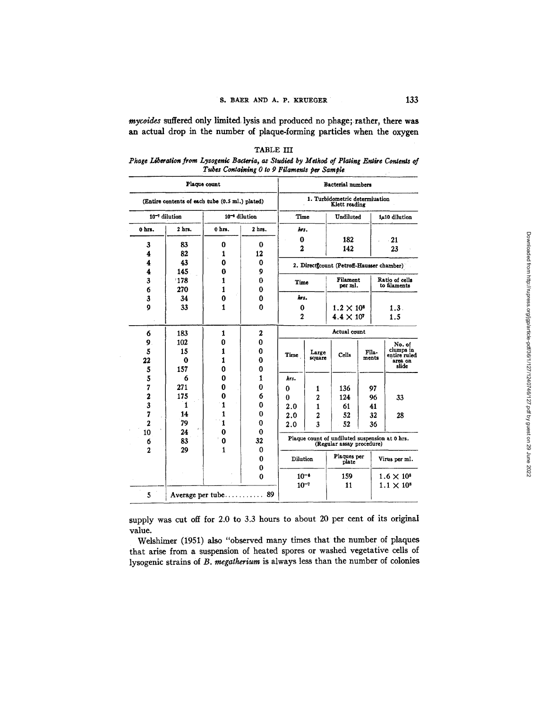*mycoides* suffered only limited lysis and produced no phage; rather, there was an actual drop in the number of plaque-forming particles when the oxygen

TABLE III *Phage Liberation from Lysogenic Bacteria, as Studied by Method of Plating Entire Contents of Tubes Containing 0 to 9 Filaments per Sample <sup>l</sup>*

|                                                 | <b>Bacterial</b> numbers                        |              |                     |              |                  |                                           |       |                                                |  |
|-------------------------------------------------|-------------------------------------------------|--------------|---------------------|--------------|------------------|-------------------------------------------|-------|------------------------------------------------|--|
| (Entire contents of each tube (0.5 ml,) plated) | 1. Turbidometric determiuation<br>Klett reading |              |                     |              |                  |                                           |       |                                                |  |
| 10 <sup>-7</sup> dilution                       | Time                                            |              | Undiluted           |              | 1µ10 dilution    |                                           |       |                                                |  |
| 0 hrs.                                          | 2 hrs.                                          | 0 hrs.       | 2 hrs.              | hrs.         |                  |                                           |       |                                                |  |
|                                                 |                                                 |              |                     | 0            |                  | 182                                       |       | 21                                             |  |
| 3                                               | 83                                              | 0            | 0                   | $\mathbf{z}$ |                  | 142                                       |       | 23                                             |  |
| 4                                               | 82                                              | 1            | 12                  |              |                  |                                           |       |                                                |  |
| 4                                               | 43                                              | Ω            | 0                   |              |                  | 2. Directtcount (Petroff-Hausser chamber) |       |                                                |  |
| 4                                               | 145                                             | 0            | 9                   |              |                  |                                           |       |                                                |  |
| 3                                               | 178                                             | 1            | 0                   | Time         |                  | Filament<br>per ml.                       |       | Ratio of cells<br>to filaments                 |  |
| 6                                               | 270                                             | 1            | 0                   |              |                  |                                           |       |                                                |  |
| 3                                               | 34                                              | 0            | 0                   | hrs.         |                  |                                           |       |                                                |  |
| 9                                               | 33                                              | 1            | 0                   | $\bf{0}$     |                  | $1.2 \times 10^{8}$                       |       | 1.3.                                           |  |
|                                                 |                                                 |              |                     | 2            |                  | $4.4 \times 10^{7}$                       |       | 1.5                                            |  |
| 6                                               | 183                                             | $\mathbf{1}$ | 2                   | Actual count |                  |                                           |       |                                                |  |
| 9.                                              | 102                                             | 0            | 0                   |              |                  |                                           |       | No. of                                         |  |
| 5                                               | 15                                              |              | 0                   | Time         | Large            | Fila-<br>Cells                            |       | clumps in<br>entire ruled                      |  |
| 22                                              | 0                                               |              | 0                   |              | square           |                                           | ments | area on                                        |  |
| 5                                               | 157                                             | Ω            | o                   |              |                  |                                           |       | slide                                          |  |
| 5                                               | 6                                               | 0            | 1                   | hrs.         |                  |                                           |       |                                                |  |
| 7                                               | 271                                             | 0            | 0                   | $\bf{0}$     | 1                | 136                                       | 97    |                                                |  |
| 2                                               | 175                                             | 0            | 6                   | 0            | 2                | 124                                       | 96    | 33                                             |  |
| 3                                               | 1                                               | 1            | 0                   | 2.0          | $\mathbf{1}$     | 61                                        | 41    |                                                |  |
| $\overline{\mathbf{r}}$                         | 14                                              | ı            | 0                   | 2.0          | $\boldsymbol{2}$ | 52                                        | 32    | 28                                             |  |
| $\overline{a}$                                  | 79                                              | 1            | 0                   | 2.0          | 3                | 52                                        | 36    |                                                |  |
| 10                                              | 24                                              | $\bf{0}$     | 0                   |              |                  |                                           |       |                                                |  |
| 6                                               | 83                                              | 0            | 32                  |              |                  | (Regular assay procedure)                 |       | Plaque count of undiluted suspension at 0 hrs. |  |
| $\overline{2}$                                  | 29                                              | 1            | 0                   |              |                  |                                           |       |                                                |  |
|                                                 |                                                 |              | 0                   | Dilution     |                  | Plaques per<br>plate                      |       | Virus per ml.                                  |  |
|                                                 |                                                 |              | 0                   |              |                  |                                           |       |                                                |  |
|                                                 |                                                 |              | $\bf{0}$            | $10^{-6}$    |                  | 159                                       |       | $1.6 \times 10^8$                              |  |
|                                                 |                                                 |              |                     | $10^{-7}$    |                  | 11                                        |       | $1.1 \times 10^8$                              |  |
| 5                                               |                                                 |              | Average per tube 89 |              |                  |                                           |       |                                                |  |

supply was cut off for 2.0 to 3.3 hours to about 20 per cent of its original value.

Welshimer (1951) also "observed many times that the number of plaques that arise from a suspension of heated spores or washed vegetative cells of lysogenic strains of *B. megatherium* is always less than the number of colonies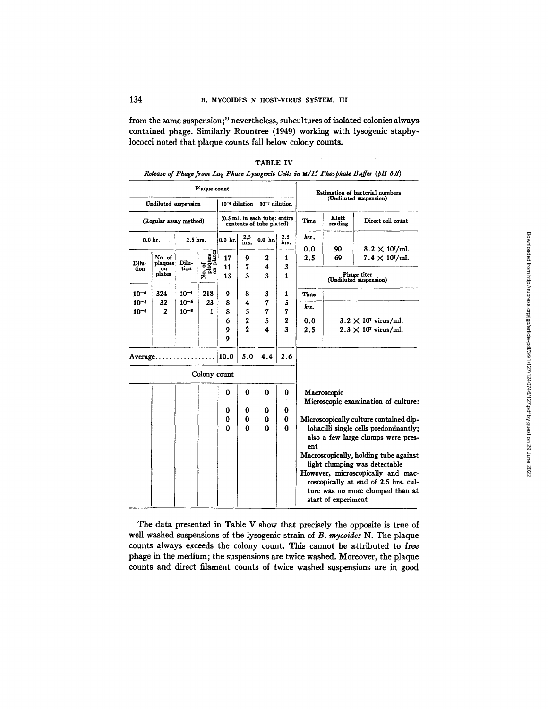from the same suspension;" nevertheless, subcultures of isolated colonies always contained phage. Similarly Rountree (1949) working with lysogenic staphylococci noted that plaque counts fall below colony counts.

|                                                                                     |                                          |                        | Plaque count                   |                    |                         |                                                           |                  |                                                                                                                                      |                             |                             |  |  |
|-------------------------------------------------------------------------------------|------------------------------------------|------------------------|--------------------------------|--------------------|-------------------------|-----------------------------------------------------------|------------------|--------------------------------------------------------------------------------------------------------------------------------------|-----------------------------|-----------------------------|--|--|
| $10^{-7}$ dilution<br>Undiluted suspension<br>10 <sup>-4</sup> dilution             |                                          |                        |                                |                    |                         | Estimation of bacterial numbers<br>(Undiluted suspension) |                  |                                                                                                                                      |                             |                             |  |  |
| (0.5 ml. in each tube: entire<br>(Regular assay method)<br>contents of tube plated) |                                          |                        |                                |                    |                         | Time                                                      | Klett<br>reading | Direct cell count                                                                                                                    |                             |                             |  |  |
|                                                                                     | $0.0hr$ .                                | 2.5 hrs.               |                                | $0.0$ hr.          | 2.5<br>hrs.             | 0.0 h.                                                    | 2.5<br>hrs.      | hrs.<br>0.0                                                                                                                          | 90                          | $8.2 \times 10^7$ /ml.      |  |  |
| Dilu-<br>tion                                                                       | No. of<br>Dilu-<br>plaques<br>tion<br>on |                        | No. of<br>plaques<br>on plates | 17<br>9<br>11<br>7 |                         | 2<br>4                                                    | 1<br>3           | 2.5                                                                                                                                  | 69                          | $7.4 \times 10^{7}$ /ml.    |  |  |
|                                                                                     | plates                                   |                        |                                | 13                 | $\overline{\mathbf{3}}$ | 3                                                         | $\mathbf{1}$     | Phage titer<br>(Undiluted suspension)                                                                                                |                             |                             |  |  |
| $10^{-4}$                                                                           | 324                                      | $10^{-4}$              | 218                            | 9                  | 8                       | 3                                                         | 1                | Time                                                                                                                                 |                             |                             |  |  |
| $10^{-5}$<br>$10^{-6}$                                                              | 32<br>$\mathbf{2}$                       | $10^{-5}$<br>$10^{-6}$ | 23<br>$\mathbf{1}$             | 8<br>8             | 4<br>5                  | 7<br>7                                                    | 5<br>7           | hrs.                                                                                                                                 |                             |                             |  |  |
|                                                                                     |                                          |                        |                                | 6                  | $\frac{2}{2}$           | 5                                                         | 2                | 0.0                                                                                                                                  | $3.2 \times 10^7$ virus/ml. |                             |  |  |
|                                                                                     |                                          |                        |                                | 9<br>9             |                         | $\overline{\mathbf{4}}$                                   | 3                | 2.5                                                                                                                                  |                             | $2.3 \times 10^7$ virus/ml. |  |  |
|                                                                                     | $Average \ldots \ldots \ldots \ldots$    |                        |                                | 10.0               | 5.0                     | 4.4                                                       | 2.6              |                                                                                                                                      |                             |                             |  |  |
|                                                                                     |                                          |                        | Colony count                   |                    |                         |                                                           |                  |                                                                                                                                      |                             |                             |  |  |
|                                                                                     |                                          |                        |                                | $\bf{0}$           | 0                       | $\bf{0}$                                                  | 0                | Macroscopic<br>Microscopic examination of culture:                                                                                   |                             |                             |  |  |
|                                                                                     |                                          |                        |                                | 0                  | 0                       | 0                                                         | 0                |                                                                                                                                      |                             |                             |  |  |
|                                                                                     |                                          |                        |                                | 0                  | 0                       | $\bf{0}$                                                  | $\bf{0}$         | Microscopically culture contained dip-                                                                                               |                             |                             |  |  |
|                                                                                     |                                          |                        |                                | $\mathbf{0}$       | $\bf{0}$                | $\Omega$                                                  | $\Omega$         | lobacilli single cells predominantly;<br>also a few large clumps were pres-<br>ent                                                   |                             |                             |  |  |
|                                                                                     |                                          |                        |                                |                    |                         |                                                           |                  | Macroscopically, holding tube against<br>light clumping was detectable                                                               |                             |                             |  |  |
|                                                                                     |                                          |                        |                                |                    |                         |                                                           |                  | However, microscopically and mac-<br>roscopically at end of 2.5 hrs. cul-<br>ture was no more clumped than at<br>start of experiment |                             |                             |  |  |

TABLE IV *Rdease of Phage from Lag Phase Lysogenic Cells in u/15 Phosphal¢ Buffer (pH 6.8)* 

The data presented in Table V show that precisely the opposite is true of well washed suspensions of the lysogenic strain of *B. mycoides* N. The plaque counts always exceeds the colony count. This cannot be attributed to free phage in the medium; the suspensions are twice washed. Moreover, the plaque counts and direct filament counts of twice washed suspensions are in good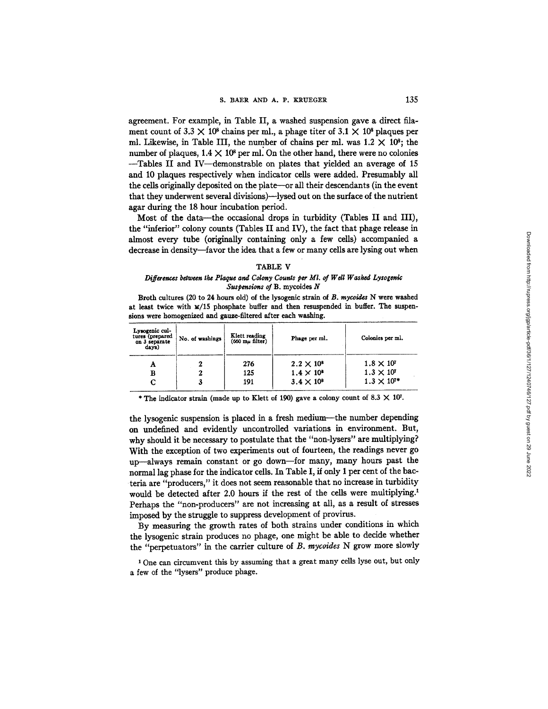agreement. For example, in Table II, a washed suspension gave a direct filament count of 3.3  $\times$  10<sup>8</sup> chains per ml., a phage titer of 3.1  $\times$  10<sup>8</sup> plaques per ml. Likewise, in Table III, the number of chains per ml. was  $1.2 \times 10^8$ ; the number of plaques,  $1.4 \times 10^8$  per ml. On the other hand, there were no colonies --Tables II and IV--demonstrable on plates that yielded an average of 15 and 10 plaques respectively when indicator cells were added. Presumably all the cells originally deposited on the plate—or all their descendants (in the event that they underwent several divisions)--lysed out on the surface of the nutrient agar during the 18 hour incubation period.

Most of the data--the occasional drops in turbidity (Tables II and III), the "inferior" colony counts (Tables II and IV), the fact that phage release in almost every tube (originally containing only a few cells) accompanied a decrease in density-favor the idea that a few or many cells are lysing out when

#### TABLE V

## *Differences between the Plaque and Colony Counts per MI. of Well Washed Lysogonic Suspensions of* B. mycoides N

Broth cultures (20 to 24 hours old) of the lysogenic strain of *B. raycoides* N were washed at least twice with  $\mathbf{x}/15$  phosphate buffer and then resuspended in buffer. The suspensions were homogenized and gauze-filtered after each washing.

| Lysogenic cul-<br>tures (prepared<br>on 3 separate<br>days) | No. of washings | Klett reading<br>$(660 \text{ m} \mu \text{ filter})$ | Phage per ml.       | Colonies per ml.    |  |  |
|-------------------------------------------------------------|-----------------|-------------------------------------------------------|---------------------|---------------------|--|--|
| А                                                           |                 | 276                                                   | $2.2 \times 10^{8}$ | $1.8 \times 10^7$   |  |  |
| в                                                           | 2               | 125                                                   | $1.4 \times 10^{8}$ | $1.3 \times 10^{7}$ |  |  |
|                                                             | 3               | 191                                                   | $3.4 \times 10^{8}$ | $1.3 \times 10^{7}$ |  |  |
|                                                             |                 |                                                       |                     |                     |  |  |

\* The indicator strain (made up to Klett of 190) gave a colony count of 8.3  $\times$  107.

the lysogenic suspension is placed in a fresh medium--the number depending on undefined and evidently uncontrolled variations in environment. But, why should it be necessary to postulate that the *"non-lysers"* are multiplying? With the exception of two experiments out of fourteen, the readings never go up—always remain constant or go down—for many, many hours past the normal lag phase for the indicator cells. In Table I, if only 1 per cent of the bacteria are "producers," it does not seem reasonable that no increase in turbidity would be detected after 2.0 hours if the rest of the cells were multiplying.<sup>1</sup> Perhaps the "non-producers" are not increasing at all, as a result of stresses imposed by the struggle to suppress development of provirus.

By measuring the growth rates of both strains under conditions in which the lysogenic strain produces no phage, one might be able to decide whether the *"perpetuators" in* the carrier culture of *B. mycoides* N grow more slowly

<sup>1</sup> One can circumvent this by assuming that a great many cells lyse out, but only a few of the "lysers" produce phage.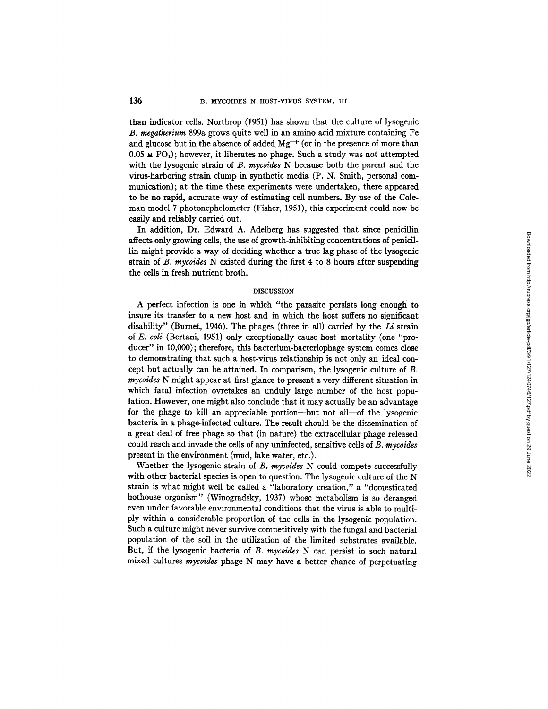than indicator cells. Northrop (1951) has shown that the culture of lysogenic *B. megatherium* 899a grows quite well in an amino acid mixture containing Fe and glucose but in the absence of added  $Mg^{++}$  (or in the presence of more than 0.05  $\times$  PO<sub>1</sub>); however, it liberates no phage. Such a study was not attempted with the lysogenic strain of *B. mycoides* N because both the parent and the virus-harboring strain clump in synthetic media (P. N. Smith, personal communication); at the time these experiments were undertaken, there appeared to be no rapid, accurate way of estimating cell numbers. By use of the Coleman model 7 photonephelometer (Fisher, 1951), this experiment could now be easily and reliably carried out.

In addition, Dr. Edward A. Adelberg has suggested that since penicillin affects only growing cells, the use of growth-inhibiting concentrations of penicillin might provide a way of deciding whether a true lag phase of the lysogenic strain of *B. mycoides* N existed during the first 4 to 8 hours after suspending the cells in fresh nutrient broth.

## **DISCUSSION**

A perfect infection is one in which "the parasite persists long enough to insure its transfer to a new host and in which the host suffers no significant disability" (Burnet, 1945). The phages (three in all) carried by the *Li* strain of *E. coli* (Bertani, 1951) only exceptionally cause host mortality (one "producer" in 10,000); therefore, this bacterium-bacteriophage system comes close to demonstrating that such a host-virus relationship is not only an ideal concept but actually can be attained. In comparison, the lysogenic culture of B. *mycoides* N might appear at first glance to present a very different situation in which fatal infection ovretakes an unduly large number of the host population. However, one might also conclude that it may actually be an advantage for the phage to kill an appreciable portion--but not all--of the lysogenic bacteria in a phage-infected culture. The result should be the dissemination of a great deal of free phage so that (in nature) the extracellular phage released could reach and invade the cells of any uninfected, sensitive cells of *B. mycoides*  present in the environment (mud, lake water, etc.).

Whether the lysogenic strain of *B. mycoides* N could compete successfully with other bacterial species is open to question. The lysogenic culture of the N strain is what might well be called a "laboratory creation," a "domesticated hothouse organism" (Wiuogradsky, 1937) whose metabolism is so deranged even under favorable environmental conditions that the virus is able to multiply within a considerable proportion of the cells in the lysogenic population. Such a culture might never survive competitively with the fungal and bacterial population of the soil in the utilization of the limited substrates available. But, if the lysogenic bacteria of *B. mycoides* N can persist in such natural mixed cultures *mycoides* phage N may have a better chance of perpetuating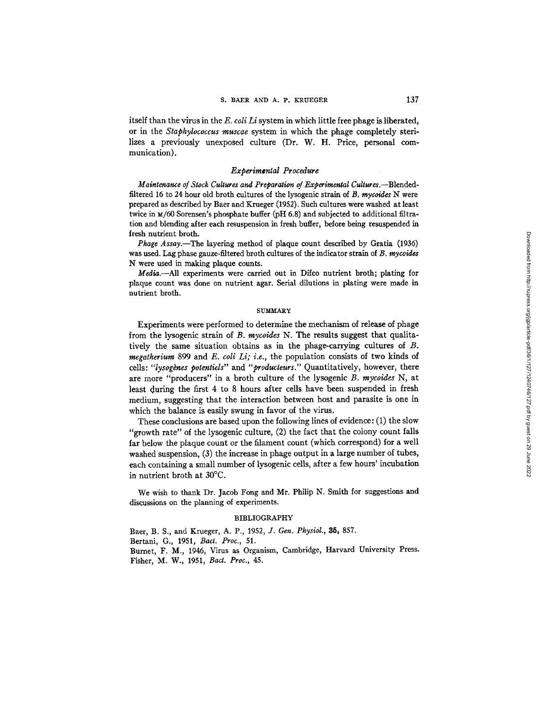itself than the virus in the *E. coil Li* system in which little free phage is liberated, or in the *Staphylococcus muscae* system in which the phage completely sterilizes a previously unexposed culture (Dr. W. H. Price, personal communication).

### *Experimental Procedure*

*Maintenance of Stock Cultures and Preparation of Experimental Cultures.*—Blendedfiltered 16 to 24 hour old broth cultures of the lysogenic strain of *B. mycoides* N were prepared as described by Baer and Krueger (1952). Such cultures were washed at least twice in  $\mu/60$  Sorensen's phosphate buffer (pH 6.8) and subjected to additional filtration and blending after each resuspension in fresh buffer, before being resuspended in fresh nutrient broth.

*Phage Assay.--The* layering method of plaque count described by Gratia (1936) was used. Lag phase gauze-filtered broth cultures of the indicator strain of *B. mycoides*  N were used in making plaque counts.

Media.—All experiments were carried out in Difco nutrient broth; plating for plaque count was done on nutrient agar. Serial dilutions in plating were made in nutrient broth.

### **SUMMARY**

Experiments were performed to determine the mechanism of release of phage from the lysogenic strain of *B. mycoides* N. The results suggest that qualitatively the same situation obtains as in the phage-carrying cultures of B. *megatherium* 899 and *E. coli Li; i.e.,* the population consists of two kinds of cells: "lysogènes potentiels" and "producteurs." Quantitatively, however, there are more "producers" in a broth culture of the lysogenic B. *mycoides* N, at least during the first 4 to 8 hours after cells have been suspended in fresh medium, suggesting that the interaction between host and parasite is one in which the balance is easily swung in favor of the virus.

These conclusions are based upon the following lines of evidence: (1) the slow "growth rate" of the lysogenic culture, (2) the fact that the colony count falls far below the plaque count or the filament count (which correspond) for a well washed suspension, (3) the increase in phage output in a large number of tubes, each containing a small number of lysogenic ceils, after a few hours' incubation in nutrient broth at 30°C.

We wish to thank Dr. Jacob Fong and Mr. Philip N. Smith for suggestions and discussions on the planning of experiments.

### BIBLIOGRAPHY

Baer, B. S., and Krueger, A. P., 1952, *Y. Gen. Physiol., 35,* 857. Bertani, G., 1951, *Bact. Proc.,* 51. Burnet, F. M., 1946, Virus as Organism, Cambridge, Harvard University Press. Fisher, M. W., 1951, *Bad. Proc.,* 45.